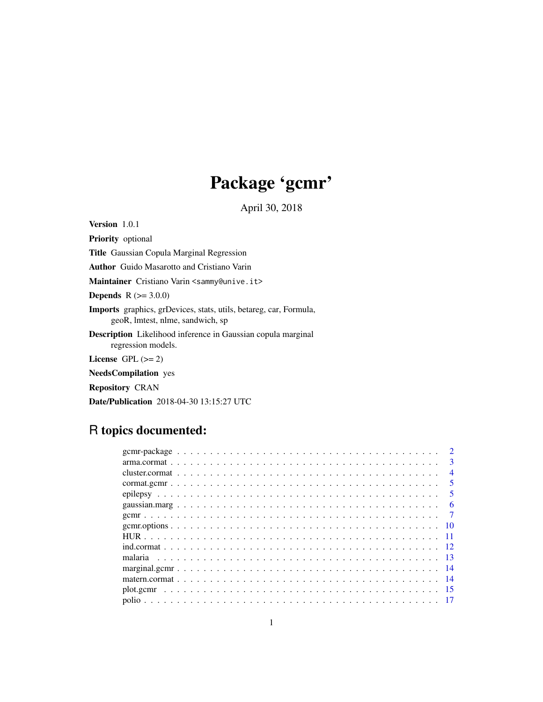# Package 'gcmr'

April 30, 2018

<span id="page-0-0"></span>Version 1.0.1 Priority optional Title Gaussian Copula Marginal Regression Author Guido Masarotto and Cristiano Varin Maintainer Cristiano Varin <sammy@unive.it> **Depends**  $R$  ( $>= 3.0.0$ ) Imports graphics, grDevices, stats, utils, betareg, car, Formula, geoR, lmtest, nlme, sandwich, sp Description Likelihood inference in Gaussian copula marginal regression models. License GPL  $(>= 2)$ NeedsCompilation yes Repository CRAN

# Date/Publication 2018-04-30 13:15:27 UTC

# R topics documented:

|  |  |  |  |  |  |  |  |  |  |  |  |  |  |  |  |  |  |  |  | $\mathcal{D}$           |
|--|--|--|--|--|--|--|--|--|--|--|--|--|--|--|--|--|--|--|--|-------------------------|
|  |  |  |  |  |  |  |  |  |  |  |  |  |  |  |  |  |  |  |  | 3                       |
|  |  |  |  |  |  |  |  |  |  |  |  |  |  |  |  |  |  |  |  | $\overline{4}$          |
|  |  |  |  |  |  |  |  |  |  |  |  |  |  |  |  |  |  |  |  | $\overline{\mathbf{z}}$ |
|  |  |  |  |  |  |  |  |  |  |  |  |  |  |  |  |  |  |  |  | $\overline{\mathbf{5}}$ |
|  |  |  |  |  |  |  |  |  |  |  |  |  |  |  |  |  |  |  |  |                         |
|  |  |  |  |  |  |  |  |  |  |  |  |  |  |  |  |  |  |  |  |                         |
|  |  |  |  |  |  |  |  |  |  |  |  |  |  |  |  |  |  |  |  |                         |
|  |  |  |  |  |  |  |  |  |  |  |  |  |  |  |  |  |  |  |  |                         |
|  |  |  |  |  |  |  |  |  |  |  |  |  |  |  |  |  |  |  |  |                         |
|  |  |  |  |  |  |  |  |  |  |  |  |  |  |  |  |  |  |  |  |                         |
|  |  |  |  |  |  |  |  |  |  |  |  |  |  |  |  |  |  |  |  |                         |
|  |  |  |  |  |  |  |  |  |  |  |  |  |  |  |  |  |  |  |  |                         |
|  |  |  |  |  |  |  |  |  |  |  |  |  |  |  |  |  |  |  |  | -15                     |
|  |  |  |  |  |  |  |  |  |  |  |  |  |  |  |  |  |  |  |  |                         |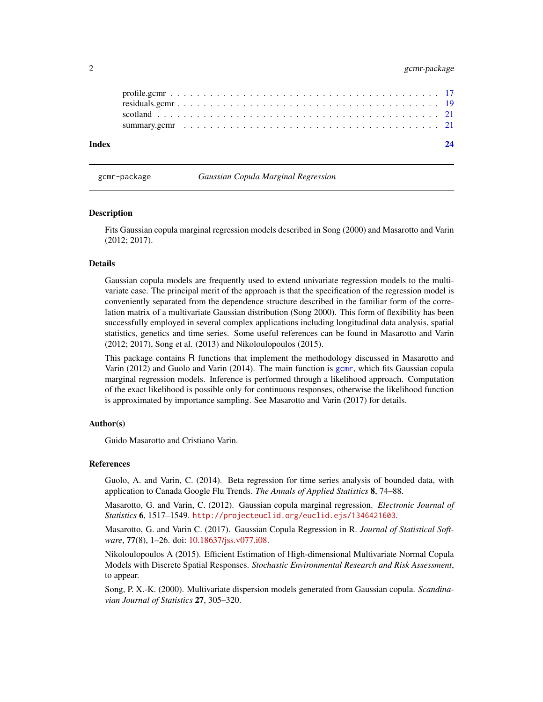# <span id="page-1-0"></span>2 gcmr-package

| Index |  |
|-------|--|
|       |  |
|       |  |
|       |  |
|       |  |

gcmr-package *Gaussian Copula Marginal Regression*

#### **Description**

Fits Gaussian copula marginal regression models described in Song (2000) and Masarotto and Varin (2012; 2017).

#### Details

Gaussian copula models are frequently used to extend univariate regression models to the multivariate case. The principal merit of the approach is that the specification of the regression model is conveniently separated from the dependence structure described in the familiar form of the correlation matrix of a multivariate Gaussian distribution (Song 2000). This form of flexibility has been successfully employed in several complex applications including longitudinal data analysis, spatial statistics, genetics and time series. Some useful references can be found in Masarotto and Varin (2012; 2017), Song et al. (2013) and Nikoloulopoulos (2015).

This package contains R functions that implement the methodology discussed in Masarotto and Varin (2012) and Guolo and Varin (2014). The main function is [gcmr](#page-6-1), which fits Gaussian copula marginal regression models. Inference is performed through a likelihood approach. Computation of the exact likelihood is possible only for continuous responses, otherwise the likelihood function is approximated by importance sampling. See Masarotto and Varin (2017) for details.

#### Author(s)

Guido Masarotto and Cristiano Varin.

#### References

Guolo, A. and Varin, C. (2014). Beta regression for time series analysis of bounded data, with application to Canada Google Flu Trends. *The Annals of Applied Statistics* 8, 74–88.

Masarotto, G. and Varin, C. (2012). Gaussian copula marginal regression. *Electronic Journal of Statistics* 6, 1517–1549. <http://projecteuclid.org/euclid.ejs/1346421603>.

Masarotto, G. and Varin C. (2017). Gaussian Copula Regression in R. *Journal of Statistical Software*, 77(8), 1–26. doi: [10.18637/jss.v077.i08.](http://doi.org/10.18637/jss.v077.i08)

Nikoloulopoulos A (2015). Efficient Estimation of High-dimensional Multivariate Normal Copula Models with Discrete Spatial Responses. *Stochastic Environmental Research and Risk Assessment*, to appear.

Song, P. X.-K. (2000). Multivariate dispersion models generated from Gaussian copula. *Scandinavian Journal of Statistics* 27, 305–320.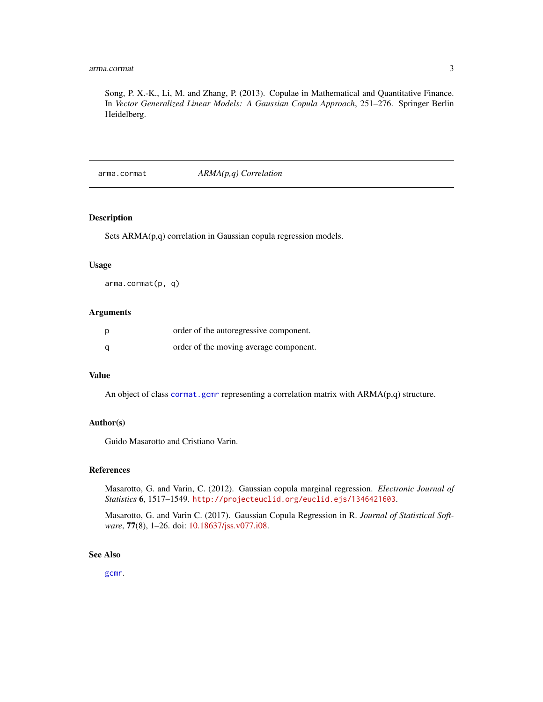# <span id="page-2-0"></span>arma.cormat 3

Song, P. X.-K., Li, M. and Zhang, P. (2013). Copulae in Mathematical and Quantitative Finance. In *Vector Generalized Linear Models: A Gaussian Copula Approach*, 251–276. Springer Berlin Heidelberg.

<span id="page-2-1"></span>arma.cormat *ARMA(p,q) Correlation*

# Description

Sets ARMA(p,q) correlation in Gaussian copula regression models.

#### Usage

arma.cormat(p, q)

# Arguments

| p | order of the autoregressive component. |
|---|----------------------------------------|
| a | order of the moving average component. |

# Value

An object of class [cormat.gcmr](#page-4-1) representing a correlation matrix with ARMA(p,q) structure.

#### Author(s)

Guido Masarotto and Cristiano Varin.

#### References

Masarotto, G. and Varin, C. (2012). Gaussian copula marginal regression. *Electronic Journal of Statistics* 6, 1517–1549. <http://projecteuclid.org/euclid.ejs/1346421603>.

Masarotto, G. and Varin C. (2017). Gaussian Copula Regression in R. *Journal of Statistical Software*, 77(8), 1–26. doi: [10.18637/jss.v077.i08.](http://doi.org/10.18637/jss.v077.i08)

# See Also

[gcmr](#page-6-1).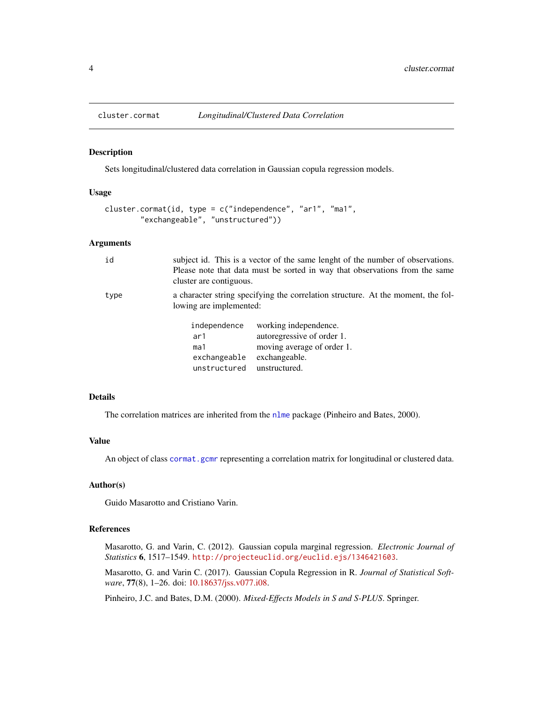<span id="page-3-1"></span><span id="page-3-0"></span>

#### Description

Sets longitudinal/clustered data correlation in Gaussian copula regression models.

#### Usage

```
cluster.cormat(id, type = c("independence", "ar1", "ma1",
        "exchangeable", "unstructured"))
```
# Arguments

| id   | cluster are contiguous.                                    | subject id. This is a vector of the same lenght of the number of observations.<br>Please note that data must be sorted in way that observations from the same |
|------|------------------------------------------------------------|---------------------------------------------------------------------------------------------------------------------------------------------------------------|
| type | lowing are implemented:                                    | a character string specifying the correlation structure. At the moment, the fol-                                                                              |
|      | independence<br>ar1<br>ma1<br>exchangeable<br>unstructured | working independence.<br>autoregressive of order 1.<br>moving average of order 1.<br>exchangeable.<br>unstructured.                                           |

#### Details

The correlation matrices are inherited from the [nlme](#page-0-0) package (Pinheiro and Bates, 2000).

# Value

An object of class [cormat.gcmr](#page-4-1) representing a correlation matrix for longitudinal or clustered data.

#### Author(s)

Guido Masarotto and Cristiano Varin.

#### References

Masarotto, G. and Varin, C. (2012). Gaussian copula marginal regression. *Electronic Journal of Statistics* 6, 1517–1549. <http://projecteuclid.org/euclid.ejs/1346421603>.

Masarotto, G. and Varin C. (2017). Gaussian Copula Regression in R. *Journal of Statistical Software*, 77(8), 1–26. doi: [10.18637/jss.v077.i08.](http://doi.org/10.18637/jss.v077.i08)

Pinheiro, J.C. and Bates, D.M. (2000). *Mixed-Effects Models in S and S-PLUS*. Springer.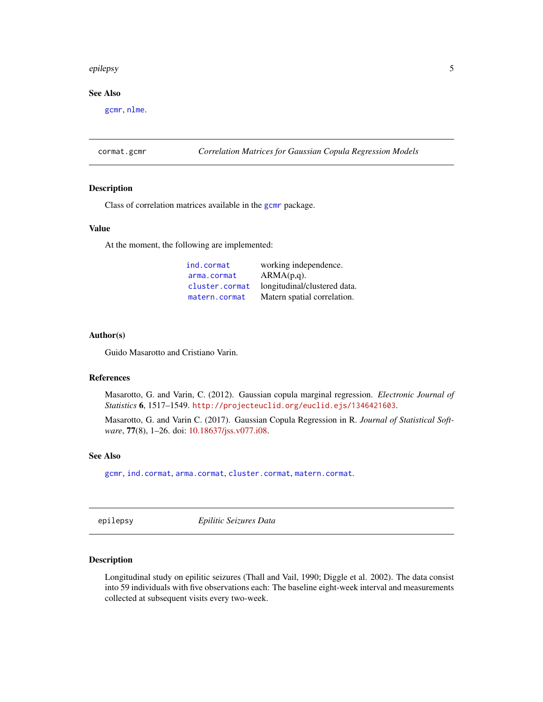#### <span id="page-4-0"></span>epilepsy 5

# See Also

[gcmr](#page-6-1), [nlme](#page-0-0).

<span id="page-4-1"></span>cormat.gcmr *Correlation Matrices for Gaussian Copula Regression Models*

#### Description

Class of correlation matrices available in the [gcmr](#page-6-1) package.

# Value

At the moment, the following are implemented:

| ind.cormat     | working independence.        |
|----------------|------------------------------|
| arma.cormat    | $ARMA(p,q)$ .                |
| cluster.cormat | longitudinal/clustered data. |
| matern.cormat  | Matern spatial correlation.  |

# Author(s)

Guido Masarotto and Cristiano Varin.

#### References

Masarotto, G. and Varin, C. (2012). Gaussian copula marginal regression. *Electronic Journal of Statistics* 6, 1517–1549. <http://projecteuclid.org/euclid.ejs/1346421603>.

Masarotto, G. and Varin C. (2017). Gaussian Copula Regression in R. *Journal of Statistical Software*, 77(8), 1–26. doi: [10.18637/jss.v077.i08.](http://doi.org/10.18637/jss.v077.i08)

#### See Also

[gcmr](#page-6-1), [ind.cormat](#page-11-1), [arma.cormat](#page-2-1), [cluster.cormat](#page-3-1), [matern.cormat](#page-13-1).

epilepsy *Epilitic Seizures Data*

# Description

Longitudinal study on epilitic seizures (Thall and Vail, 1990; Diggle et al. 2002). The data consist into 59 individuals with five observations each: The baseline eight-week interval and measurements collected at subsequent visits every two-week.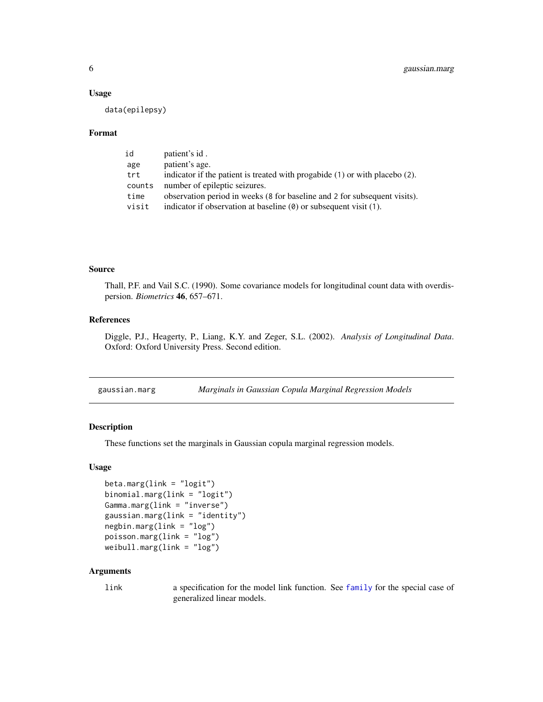#### <span id="page-5-0"></span>Usage

data(epilepsy)

#### Format

| id     | patient's id.                                                                    |
|--------|----------------------------------------------------------------------------------|
| age    | patient's age.                                                                   |
| trt    | indicator if the patient is treated with progabide $(1)$ or with placebo $(2)$ . |
| counts | number of epileptic seizures.                                                    |
| time   | observation period in weeks (8 for baseline and 2 for subsequent visits).        |
| visit  | indicator if observation at baseline $(0)$ or subsequent visit $(1)$ .           |

# Source

Thall, P.F. and Vail S.C. (1990). Some covariance models for longitudinal count data with overdispersion. *Biometrics* 46, 657–671.

## References

Diggle, P.J., Heagerty, P., Liang, K.Y. and Zeger, S.L. (2002). *Analysis of Longitudinal Data*. Oxford: Oxford University Press. Second edition.

<span id="page-5-2"></span>

| gaussian.marg | Marginals in Gaussian Copula Marginal Regression Models |  |
|---------------|---------------------------------------------------------|--|
|               |                                                         |  |

# <span id="page-5-1"></span>Description

These functions set the marginals in Gaussian copula marginal regression models.

# Usage

```
beta.marg(link = "logit")binomial.marg(link = "logit")
Gamma.marg(link = "inverse")
gaussian.marg(link = "identity")
negbin.marg(link = "log")
poisson.marg(link = "log")
weibull.marg(link = "log")
```
# Arguments

link a specification for the model link function. See [family](#page-0-0) for the special case of generalized linear models.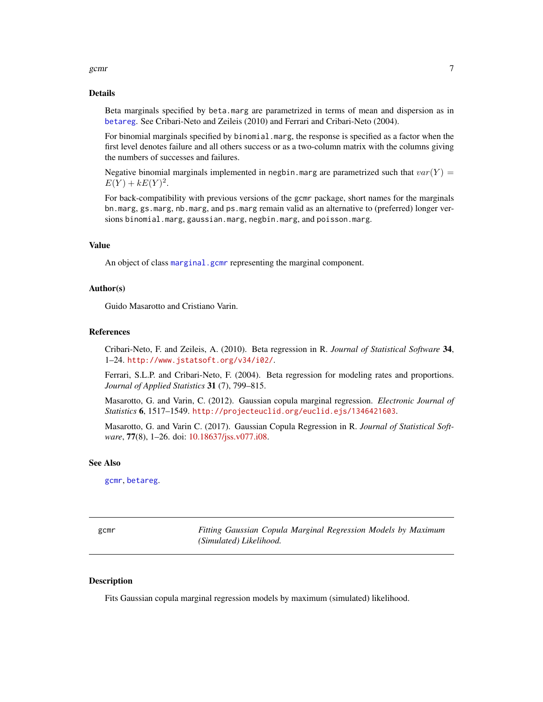<span id="page-6-0"></span>gcmr  $\sim$  7

#### Details

Beta marginals specified by beta.marg are parametrized in terms of mean and dispersion as in [betareg](#page-0-0). See Cribari-Neto and Zeileis (2010) and Ferrari and Cribari-Neto (2004).

For binomial marginals specified by binomial.marg, the response is specified as a factor when the first level denotes failure and all others success or as a two-column matrix with the columns giving the numbers of successes and failures.

Negative binomial marginals implemented in negbin.marg are parametrized such that  $var(Y)$  =  $E(Y) + kE(Y)^{2}$ .

For back-compatibility with previous versions of the gcmr package, short names for the marginals bn.marg, gs.marg, nb.marg, and ps.marg remain valid as an alternative to (preferred) longer versions binomial.marg, gaussian.marg, negbin.marg, and poisson.marg.

#### Value

An object of class [marginal.gcmr](#page-13-2) representing the marginal component.

# Author(s)

Guido Masarotto and Cristiano Varin.

#### References

Cribari-Neto, F. and Zeileis, A. (2010). Beta regression in R. *Journal of Statistical Software* 34, 1–24. <http://www.jstatsoft.org/v34/i02/>.

Ferrari, S.L.P. and Cribari-Neto, F. (2004). Beta regression for modeling rates and proportions. *Journal of Applied Statistics* 31 (7), 799–815.

Masarotto, G. and Varin, C. (2012). Gaussian copula marginal regression. *Electronic Journal of Statistics* 6, 1517–1549. <http://projecteuclid.org/euclid.ejs/1346421603>.

Masarotto, G. and Varin C. (2017). Gaussian Copula Regression in R. *Journal of Statistical Software*, 77(8), 1–26. doi: [10.18637/jss.v077.i08.](http://doi.org/10.18637/jss.v077.i08)

#### See Also

[gcmr](#page-6-1), [betareg](#page-0-0).

<span id="page-6-1"></span>gcmr *Fitting Gaussian Copula Marginal Regression Models by Maximum (Simulated) Likelihood.*

# Description

Fits Gaussian copula marginal regression models by maximum (simulated) likelihood.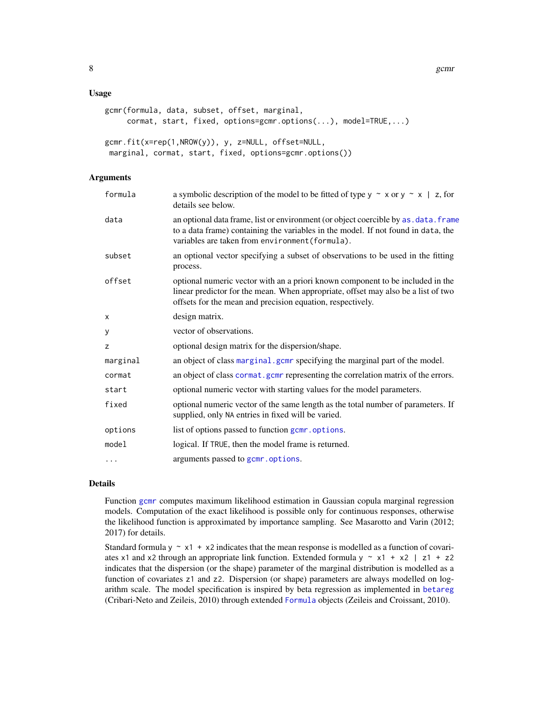#### <span id="page-7-0"></span>Usage

```
gcmr(formula, data, subset, offset, marginal,
     cormat, start, fixed, options=gcmr.options(...), model=TRUE,...)
gcmr.fit(x=rep(1,NROW(y)), y, z=NULL, offset=NULL,
marginal, cormat, start, fixed, options=gcmr.options())
```
# Arguments

| formula  | a symbolic description of the model to be fitted of type $y \sim x$ or $y \sim x$   z, for<br>details see below.                                                                                                                  |
|----------|-----------------------------------------------------------------------------------------------------------------------------------------------------------------------------------------------------------------------------------|
| data     | an optional data frame, list or environment (or object coercible by as . data. frame<br>to a data frame) containing the variables in the model. If not found in data, the<br>variables are taken from environment (formula).      |
| subset   | an optional vector specifying a subset of observations to be used in the fitting<br>process.                                                                                                                                      |
| offset   | optional numeric vector with an a priori known component to be included in the<br>linear predictor for the mean. When appropriate, offset may also be a list of two<br>offsets for the mean and precision equation, respectively. |
| x        | design matrix.                                                                                                                                                                                                                    |
| У        | vector of observations.                                                                                                                                                                                                           |
| z        | optional design matrix for the dispersion/shape.                                                                                                                                                                                  |
| marginal | an object of class marginal.gcm specifying the marginal part of the model.                                                                                                                                                        |
| cormat   | an object of class cormat. gonr representing the correlation matrix of the errors.                                                                                                                                                |
| start    | optional numeric vector with starting values for the model parameters.                                                                                                                                                            |
| fixed    | optional numeric vector of the same length as the total number of parameters. If<br>supplied, only NA entries in fixed will be varied.                                                                                            |
| options  | list of options passed to function gcmr.options.                                                                                                                                                                                  |
| model    | logical. If TRUE, then the model frame is returned.                                                                                                                                                                               |
| $\cdots$ | arguments passed to gcmr.options.                                                                                                                                                                                                 |

# Details

Function [gcmr](#page-6-1) computes maximum likelihood estimation in Gaussian copula marginal regression models. Computation of the exact likelihood is possible only for continuous responses, otherwise the likelihood function is approximated by importance sampling. See Masarotto and Varin (2012; 2017) for details.

Standard formula  $y \sim x1 + x2$  indicates that the mean response is modelled as a function of covariates x1 and x2 through an appropriate link function. Extended formula  $y \sim x1 + x2$  | z1 + z2 indicates that the dispersion (or the shape) parameter of the marginal distribution is modelled as a function of covariates z1 and z2. Dispersion (or shape) parameters are always modelled on logarithm scale. The model specification is inspired by beta regression as implemented in [betareg](#page-0-0) (Cribari-Neto and Zeileis, 2010) through extended [Formula](#page-0-0) objects (Zeileis and Croissant, 2010).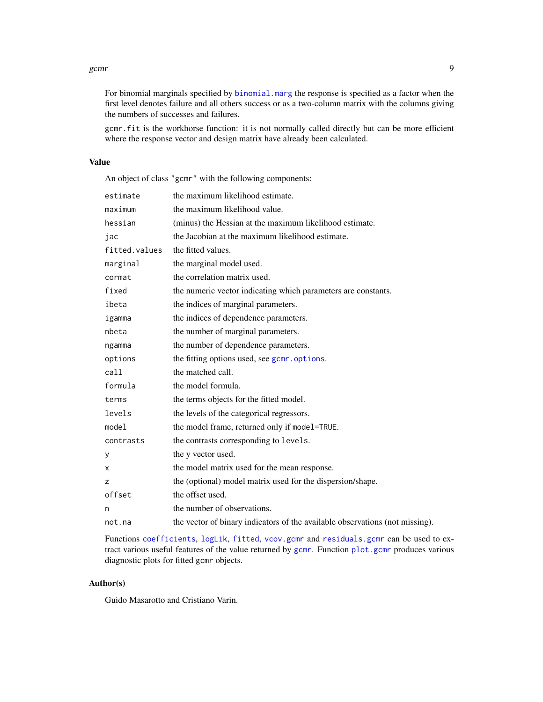#### <span id="page-8-0"></span>gcmr 9

For binomial marginals specified by [binomial.marg](#page-5-1) the response is specified as a factor when the first level denotes failure and all others success or as a two-column matrix with the columns giving the numbers of successes and failures.

gcmr.fit is the workhorse function: it is not normally called directly but can be more efficient where the response vector and design matrix have already been calculated.

# Value

An object of class "gcmr" with the following components:

| estimate      | the maximum likelihood estimate.                                             |
|---------------|------------------------------------------------------------------------------|
| maximum       | the maximum likelihood value.                                                |
| hessian       | (minus) the Hessian at the maximum likelihood estimate.                      |
| jac           | the Jacobian at the maximum likelihood estimate.                             |
| fitted.values | the fitted values.                                                           |
| marginal      | the marginal model used.                                                     |
| cormat        | the correlation matrix used.                                                 |
| fixed         | the numeric vector indicating which parameters are constants.                |
| ibeta         | the indices of marginal parameters.                                          |
| igamma        | the indices of dependence parameters.                                        |
| nbeta         | the number of marginal parameters.                                           |
| ngamma        | the number of dependence parameters.                                         |
| options       | the fitting options used, see gcmr.options.                                  |
| call          | the matched call.                                                            |
| formula       | the model formula.                                                           |
| terms         | the terms objects for the fitted model.                                      |
| levels        | the levels of the categorical regressors.                                    |
| model         | the model frame, returned only if model=TRUE.                                |
| contrasts     | the contrasts corresponding to levels.                                       |
| y             | the y vector used.                                                           |
| X             | the model matrix used for the mean response.                                 |
| z             | the (optional) model matrix used for the dispersion/shape.                   |
| offset        | the offset used.                                                             |
| n             | the number of observations.                                                  |
| not.na        | the vector of binary indicators of the available observations (not missing). |

Functions [coefficients](#page-0-0), [logLik](#page-0-0), [fitted](#page-0-0), [vcov.gcmr](#page-20-1) and [residuals.gcmr](#page-18-1) can be used to extract various useful features of the value returned by [gcmr](#page-6-1). Function [plot.gcmr](#page-14-1) produces various diagnostic plots for fitted gcmr objects.

# Author(s)

Guido Masarotto and Cristiano Varin.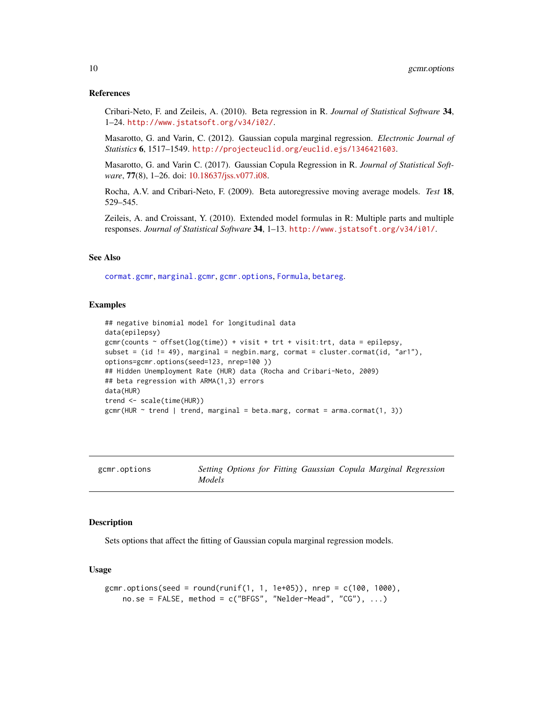#### <span id="page-9-0"></span>References

Cribari-Neto, F. and Zeileis, A. (2010). Beta regression in R. *Journal of Statistical Software* 34, 1–24. <http://www.jstatsoft.org/v34/i02/>.

Masarotto, G. and Varin, C. (2012). Gaussian copula marginal regression. *Electronic Journal of Statistics* 6, 1517–1549. <http://projecteuclid.org/euclid.ejs/1346421603>.

Masarotto, G. and Varin C. (2017). Gaussian Copula Regression in R. *Journal of Statistical Software*, 77(8), 1–26. doi: [10.18637/jss.v077.i08.](http://doi.org/10.18637/jss.v077.i08)

Rocha, A.V. and Cribari-Neto, F. (2009). Beta autoregressive moving average models. *Test* 18, 529–545.

Zeileis, A. and Croissant, Y. (2010). Extended model formulas in R: Multiple parts and multiple responses. *Journal of Statistical Software* 34, 1–13. <http://www.jstatsoft.org/v34/i01/>.

# See Also

[cormat.gcmr](#page-4-1), [marginal.gcmr](#page-13-2), [gcmr.options](#page-9-1), [Formula](#page-0-0), [betareg](#page-0-0).

#### Examples

```
## negative binomial model for longitudinal data
data(epilepsy)
gcmr(counts ~ offset(log(time)) + visit + trt + visit:trt, data = epilepsy,
subset = (id != 49), marginal = negbin.marg, cormat = cluster.cormat(id, "ar1"),
options=gcmr.options(seed=123, nrep=100 ))
## Hidden Unemployment Rate (HUR) data (Rocha and Cribari-Neto, 2009)
## beta regression with ARMA(1,3) errors
data(HUR)
trend <- scale(time(HUR))
gcm(HUR \sim trend | trend, marginal = beta.marg, cormat = arma.cormat(1, 3))
```
<span id="page-9-1"></span>

|  | gcmr.options |
|--|--------------|
|--|--------------|

gcmr.options *Setting Options for Fitting Gaussian Copula Marginal Regression Models*

#### Description

Sets options that affect the fitting of Gaussian copula marginal regression models.

# Usage

```
gcmr.options(seed = round(runif(1, 1, 1e+05)), nrep = c(100, 1000),
   no.se = FALSE, method = c("BFGS", "Nelder-Mead", "CG"), ...)
```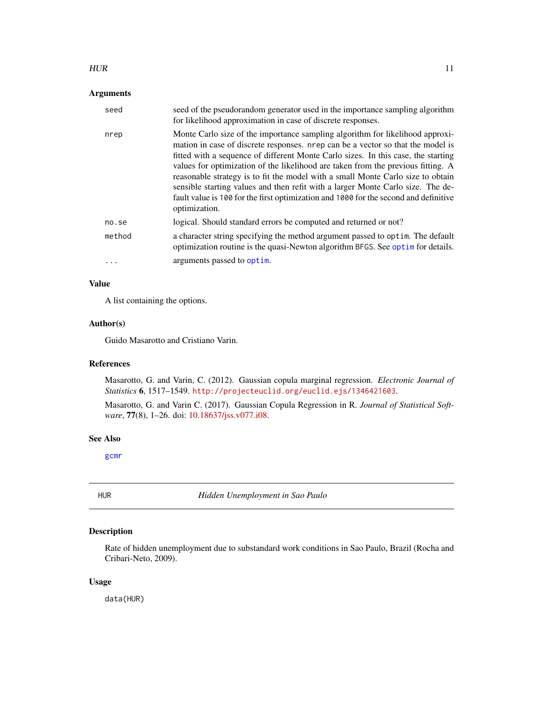#### <span id="page-10-0"></span> $HUR$  and  $11$

# Arguments

| seed     | seed of the pseudorandom generator used in the importance sampling algorithm<br>for likelihood approximation in case of discrete responses.                                                                                                                                                                                                                                                                                                                                                                                                                                                                              |
|----------|--------------------------------------------------------------------------------------------------------------------------------------------------------------------------------------------------------------------------------------------------------------------------------------------------------------------------------------------------------------------------------------------------------------------------------------------------------------------------------------------------------------------------------------------------------------------------------------------------------------------------|
| nrep     | Monte Carlo size of the importance sampling algorithm for likelihood approxi-<br>mation in case of discrete responses. nrep can be a vector so that the model is<br>fitted with a sequence of different Monte Carlo sizes. In this case, the starting<br>values for optimization of the likelihood are taken from the previous fitting. A<br>reasonable strategy is to fit the model with a small Monte Carlo size to obtain<br>sensible starting values and then refit with a larger Monte Carlo size. The de-<br>fault value is 100 for the first optimization and 1000 for the second and definitive<br>optimization. |
| no.se    | logical. Should standard errors be computed and returned or not?                                                                                                                                                                                                                                                                                                                                                                                                                                                                                                                                                         |
| method   | a character string specifying the method argument passed to optim. The default<br>optimization routine is the quasi-Newton algorithm BFGS. See optim for details.                                                                                                                                                                                                                                                                                                                                                                                                                                                        |
| $\cdots$ | arguments passed to optim.                                                                                                                                                                                                                                                                                                                                                                                                                                                                                                                                                                                               |

# Value

A list containing the options.

# Author(s)

Guido Masarotto and Cristiano Varin.

# References

Masarotto, G. and Varin, C. (2012). Gaussian copula marginal regression. *Electronic Journal of Statistics* 6, 1517–1549. <http://projecteuclid.org/euclid.ejs/1346421603>.

Masarotto, G. and Varin C. (2017). Gaussian Copula Regression in R. *Journal of Statistical Software*, 77(8), 1–26. doi: [10.18637/jss.v077.i08.](http://doi.org/10.18637/jss.v077.i08)

# See Also

[gcmr](#page-6-1)

HUR *Hidden Unemployment in Sao Paulo*

# Description

Rate of hidden unemployment due to substandard work conditions in Sao Paulo, Brazil (Rocha and Cribari-Neto, 2009).

#### Usage

data(HUR)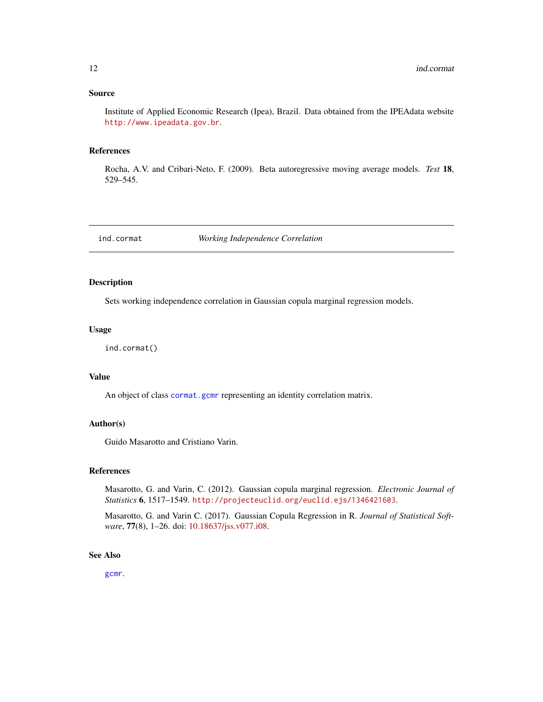# <span id="page-11-0"></span>Source

Institute of Applied Economic Research (Ipea), Brazil. Data obtained from the IPEAdata website <http://www.ipeadata.gov.br>.

# References

Rocha, A.V. and Cribari-Neto, F. (2009). Beta autoregressive moving average models. *Test* 18, 529–545.

<span id="page-11-1"></span>ind.cormat *Working Independence Correlation*

# Description

Sets working independence correlation in Gaussian copula marginal regression models.

#### Usage

```
ind.cormat()
```
#### Value

An object of class [cormat.gcmr](#page-4-1) representing an identity correlation matrix.

# Author(s)

Guido Masarotto and Cristiano Varin.

# References

Masarotto, G. and Varin, C. (2012). Gaussian copula marginal regression. *Electronic Journal of Statistics* 6, 1517–1549. <http://projecteuclid.org/euclid.ejs/1346421603>.

Masarotto, G. and Varin C. (2017). Gaussian Copula Regression in R. *Journal of Statistical Software*, 77(8), 1–26. doi: [10.18637/jss.v077.i08.](http://doi.org/10.18637/jss.v077.i08)

# See Also

[gcmr](#page-6-1).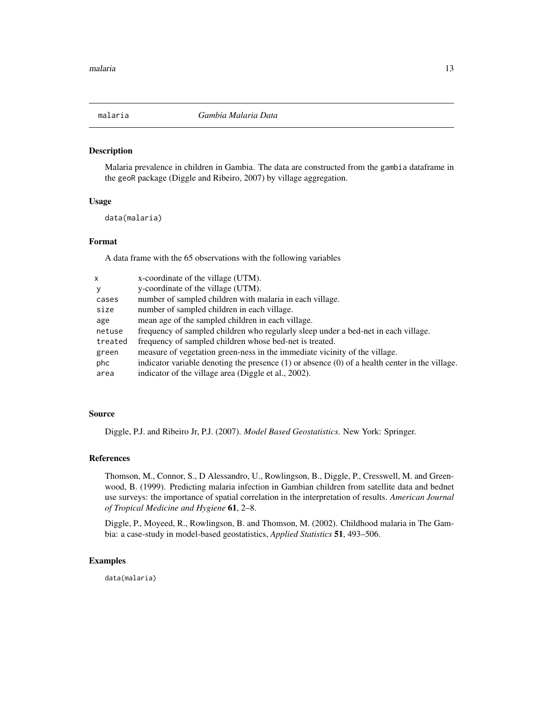<span id="page-12-0"></span>

# Description

Malaria prevalence in children in Gambia. The data are constructed from the gambia dataframe in the geoR package (Diggle and Ribeiro, 2007) by village aggregation.

#### Usage

data(malaria)

#### Format

A data frame with the 65 observations with the following variables

| x       | x-coordinate of the village (UTM).                                                                 |
|---------|----------------------------------------------------------------------------------------------------|
| y       | y-coordinate of the village (UTM).                                                                 |
| cases   | number of sampled children with malaria in each village.                                           |
| size    | number of sampled children in each village.                                                        |
| age     | mean age of the sampled children in each village.                                                  |
| netuse  | frequency of sampled children who regularly sleep under a bed-net in each village.                 |
| treated | frequency of sampled children whose bed-net is treated.                                            |
| green   | measure of vegetation green-ness in the immediate vicinity of the village.                         |
| phc     | indicator variable denoting the presence $(1)$ or absence $(0)$ of a health center in the village. |
| area    | indicator of the village area (Diggle et al., 2002).                                               |

# Source

Diggle, P.J. and Ribeiro Jr, P.J. (2007). *Model Based Geostatistics*. New York: Springer.

#### References

Thomson, M., Connor, S., D Alessandro, U., Rowlingson, B., Diggle, P., Cresswell, M. and Greenwood, B. (1999). Predicting malaria infection in Gambian children from satellite data and bednet use surveys: the importance of spatial correlation in the interpretation of results. *American Journal of Tropical Medicine and Hygiene* 61, 2–8.

Diggle, P., Moyeed, R., Rowlingson, B. and Thomson, M. (2002). Childhood malaria in The Gambia: a case-study in model-based geostatistics, *Applied Statistics* 51, 493–506.

# Examples

data(malaria)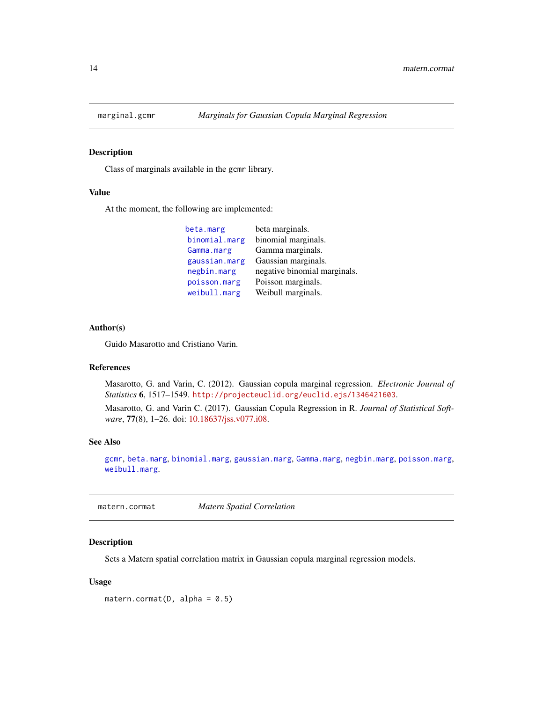<span id="page-13-2"></span><span id="page-13-0"></span>

# Description

Class of marginals available in the gcmr library.

# Value

At the moment, the following are implemented:

| beta marginals.              |
|------------------------------|
| binomial marginals.          |
| Gamma marginals.             |
| Gaussian marginals.          |
| negative binomial marginals. |
| Poisson marginals.           |
| Weibull marginals.           |
|                              |

# Author(s)

Guido Masarotto and Cristiano Varin.

#### References

Masarotto, G. and Varin, C. (2012). Gaussian copula marginal regression. *Electronic Journal of Statistics* 6, 1517–1549. <http://projecteuclid.org/euclid.ejs/1346421603>.

Masarotto, G. and Varin C. (2017). Gaussian Copula Regression in R. *Journal of Statistical Software*, 77(8), 1–26. doi: [10.18637/jss.v077.i08.](http://doi.org/10.18637/jss.v077.i08)

#### See Also

[gcmr](#page-6-1), [beta.marg](#page-5-1), [binomial.marg](#page-5-1), [gaussian.marg](#page-5-2), [Gamma.marg](#page-5-1), [negbin.marg](#page-5-1), [poisson.marg](#page-5-1), [weibull.marg](#page-5-1).

<span id="page-13-1"></span>matern.cormat *Matern Spatial Correlation*

#### Description

Sets a Matern spatial correlation matrix in Gaussian copula marginal regression models.

#### Usage

matern.cormat( $D$ , alpha = 0.5)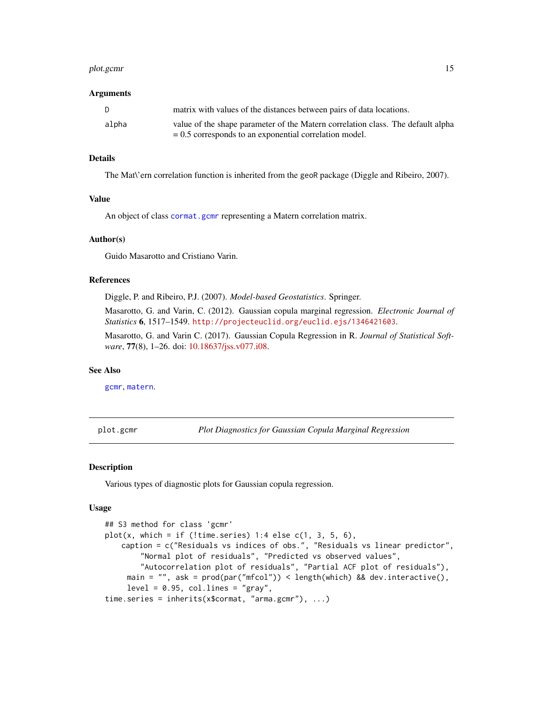#### <span id="page-14-0"></span>plot.gcmr 15

#### Arguments

| D     | matrix with values of the distances between pairs of data locations.            |
|-------|---------------------------------------------------------------------------------|
| alpha | value of the shape parameter of the Matern correlation class. The default alpha |
|       | $= 0.5$ corresponds to an exponential correlation model.                        |

# Details

The Mat\'ern correlation function is inherited from the geoR package (Diggle and Ribeiro, 2007).

# Value

An object of class [cormat.gcmr](#page-4-1) representing a Matern correlation matrix.

# Author(s)

Guido Masarotto and Cristiano Varin.

#### References

Diggle, P. and Ribeiro, P.J. (2007). *Model-based Geostatistics*. Springer.

Masarotto, G. and Varin, C. (2012). Gaussian copula marginal regression. *Electronic Journal of Statistics* 6, 1517–1549. <http://projecteuclid.org/euclid.ejs/1346421603>.

Masarotto, G. and Varin C. (2017). Gaussian Copula Regression in R. *Journal of Statistical Software*, 77(8), 1–26. doi: [10.18637/jss.v077.i08.](http://doi.org/10.18637/jss.v077.i08)

#### See Also

[gcmr](#page-6-1), [matern](#page-0-0).

<span id="page-14-1"></span>plot.gcmr *Plot Diagnostics for Gaussian Copula Marginal Regression*

#### Description

Various types of diagnostic plots for Gaussian copula regression.

#### Usage

```
## S3 method for class 'gcmr'
plot(x, which = if (!time.series) 1:4 else c(1, 3, 5, 6),
   caption = c("Residuals vs indices of obs.", "Residuals vs linear predictor",
        "Normal plot of residuals", "Predicted vs observed values",
        "Autocorrelation plot of residuals", "Partial ACF plot of residuals"),
     main = "", ask = prod(par("mfcol")) < length(which) && dev.interactive(),
     level = 0.95, col.lines = "gray",time.series = inherits(x$cormat, "arma.gcmr"), ...)
```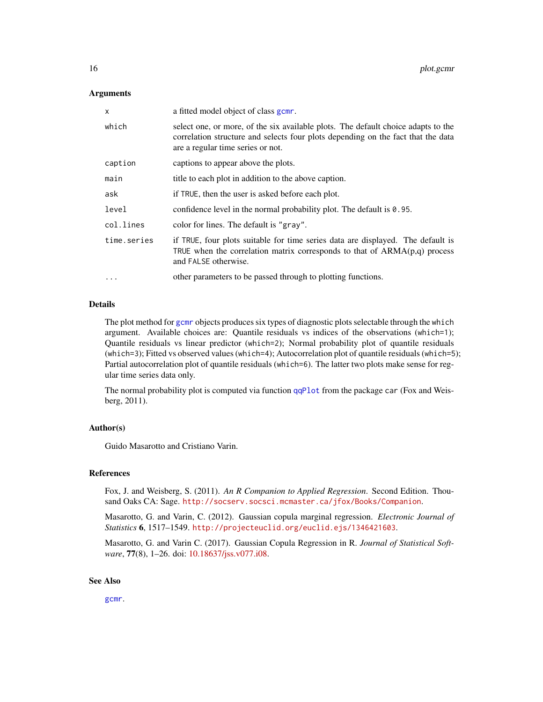#### <span id="page-15-0"></span>Arguments

| X           | a fitted model object of class gcm.                                                                                                                                                                        |
|-------------|------------------------------------------------------------------------------------------------------------------------------------------------------------------------------------------------------------|
| which       | select one, or more, of the six available plots. The default choice adapts to the<br>correlation structure and selects four plots depending on the fact that the data<br>are a regular time series or not. |
| caption     | captions to appear above the plots.                                                                                                                                                                        |
| main        | title to each plot in addition to the above caption.                                                                                                                                                       |
| ask         | if TRUE, then the user is asked before each plot.                                                                                                                                                          |
| level       | confidence level in the normal probability plot. The default is 0.95.                                                                                                                                      |
| col.lines   | color for lines. The default is "gray".                                                                                                                                                                    |
| time.series | if TRUE, four plots suitable for time series data are displayed. The default is<br>TRUE when the correlation matrix corresponds to that of $ARMA(p,q)$ process<br>and FALSE otherwise.                     |
| $\ddotsc$   | other parameters to be passed through to plotting functions.                                                                                                                                               |

#### Details

The plot method for [gcmr](#page-6-1) objects produces six types of diagnostic plots selectable through the which argument. Available choices are: Quantile residuals vs indices of the observations (which=1); Quantile residuals vs linear predictor (which=2); Normal probability plot of quantile residuals (which=3); Fitted vs observed values (which=4); Autocorrelation plot of quantile residuals (which=5); Partial autocorrelation plot of quantile residuals (which=6). The latter two plots make sense for regular time series data only.

The normal probability plot is computed via function [qqPlot](#page-0-0) from the package car (Fox and Weisberg, 2011).

# Author(s)

Guido Masarotto and Cristiano Varin.

# References

Fox, J. and Weisberg, S. (2011). *An R Companion to Applied Regression*. Second Edition. Thousand Oaks CA: Sage. <http://socserv.socsci.mcmaster.ca/jfox/Books/Companion>.

Masarotto, G. and Varin, C. (2012). Gaussian copula marginal regression. *Electronic Journal of Statistics* 6, 1517–1549. <http://projecteuclid.org/euclid.ejs/1346421603>.

Masarotto, G. and Varin C. (2017). Gaussian Copula Regression in R. *Journal of Statistical Software*, 77(8), 1–26. doi: [10.18637/jss.v077.i08.](http://doi.org/10.18637/jss.v077.i08)

# See Also

[gcmr](#page-6-1).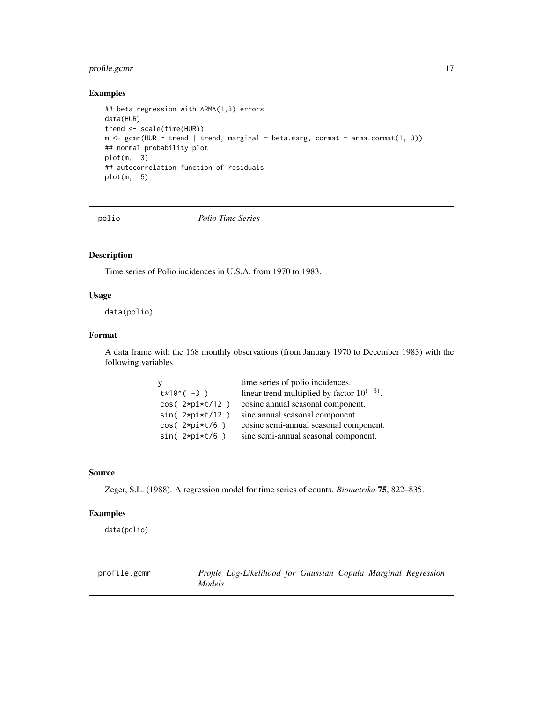# <span id="page-16-0"></span>profile.gcmr 17

# Examples

```
## beta regression with ARMA(1,3) errors
data(HUR)
trend <- scale(time(HUR))
m <- gcmr(HUR \sim trend | trend, marginal = beta.marg, cormat = arma.cormat(1, 3))
## normal probability plot
plot(m, 3)
## autocorrelation function of residuals
plot(m, 5)
```
polio *Polio Time Series*

#### Description

Time series of Polio incidences in U.S.A. from 1970 to 1983.

#### Usage

data(polio)

# Format

A data frame with the 168 monthly observations (from January 1970 to December 1983) with the following variables

| - V              | time series of polio incidences.                |
|------------------|-------------------------------------------------|
| $t*10^(-3)$      | linear trend multiplied by factor $10^{(-3)}$ . |
| $cos(2*pi*t/12)$ | cosine annual seasonal component.               |
| $sin(2*pi*t/12)$ | sine annual seasonal component.                 |
| $cos(2*pi*t/6)$  | cosine semi-annual seasonal component.          |
| $sin(2*pi*t/6)$  | sine semi-annual seasonal component.            |

# Source

Zeger, S.L. (1988). A regression model for time series of counts. *Biometrika* 75, 822–835.

# Examples

data(polio)

profile.gcmr *Profile Log-Likelihood for Gaussian Copula Marginal Regression Models*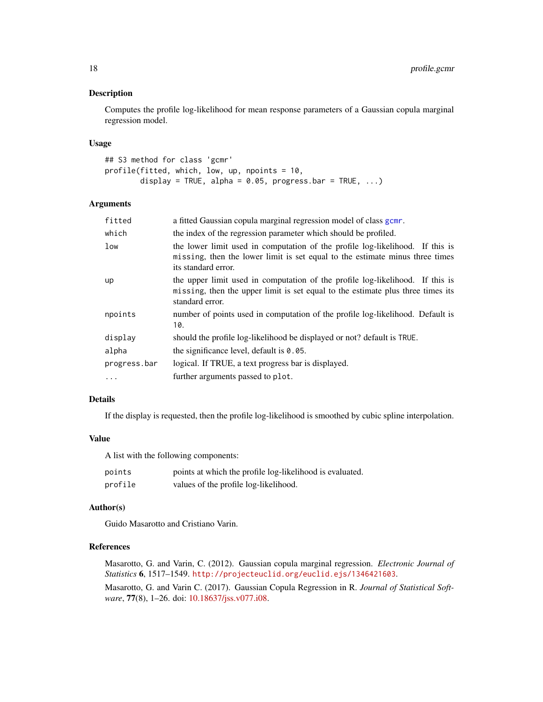# <span id="page-17-0"></span>Description

Computes the profile log-likelihood for mean response parameters of a Gaussian copula marginal regression model.

#### Usage

```
## S3 method for class 'gcmr'
profile(fitted, which, low, up, npoints = 10,
       display = TRUE, alpha = 0.05, progress.bar = TRUE, ...)
```
# Arguments

| fitted       | a fitted Gaussian copula marginal regression model of class gcmr.                                                                                                                    |
|--------------|--------------------------------------------------------------------------------------------------------------------------------------------------------------------------------------|
| which        | the index of the regression parameter which should be profiled.                                                                                                                      |
| low          | the lower limit used in computation of the profile log-likelihood. If this is<br>missing, then the lower limit is set equal to the estimate minus three times<br>its standard error. |
| up           | the upper limit used in computation of the profile log-likelihood. If this is<br>missing, then the upper limit is set equal to the estimate plus three times its<br>standard error.  |
| npoints      | number of points used in computation of the profile log-likelihood. Default is<br>10.                                                                                                |
| display      | should the profile log-likelihood be displayed or not? default is TRUE.                                                                                                              |
| alpha        | the significance level, default is $0.05$ .                                                                                                                                          |
| progress.bar | logical. If TRUE, a text progress bar is displayed.                                                                                                                                  |
| .            | further arguments passed to plot.                                                                                                                                                    |
|              |                                                                                                                                                                                      |

# Details

If the display is requested, then the profile log-likelihood is smoothed by cubic spline interpolation.

# Value

A list with the following components:

| points  | points at which the profile log-likelihood is evaluated. |
|---------|----------------------------------------------------------|
| profile | values of the profile log-likelihood.                    |

#### Author(s)

Guido Masarotto and Cristiano Varin.

# References

Masarotto, G. and Varin, C. (2012). Gaussian copula marginal regression. *Electronic Journal of Statistics* 6, 1517–1549. <http://projecteuclid.org/euclid.ejs/1346421603>.

Masarotto, G. and Varin C. (2017). Gaussian Copula Regression in R. *Journal of Statistical Software*, 77(8), 1–26. doi: [10.18637/jss.v077.i08.](http://doi.org/10.18637/jss.v077.i08)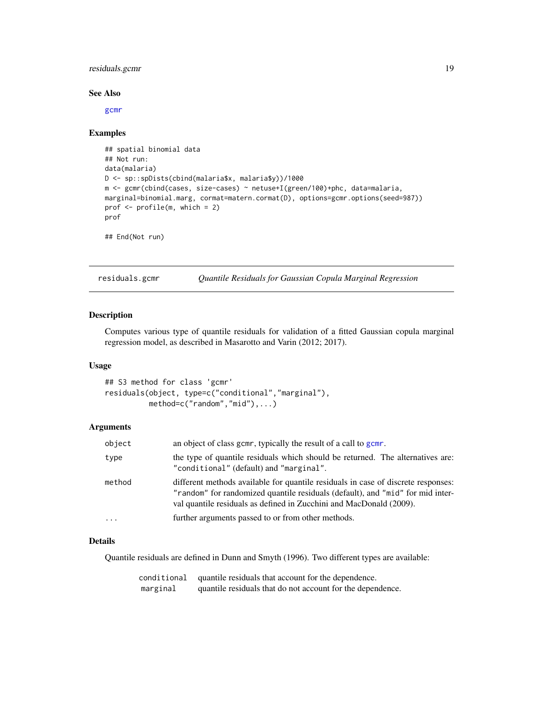# <span id="page-18-0"></span>residuals.gcmr 19

#### See Also

[gcmr](#page-6-1)

#### Examples

```
## spatial binomial data
## Not run:
data(malaria)
D <- sp::spDists(cbind(malaria$x, malaria$y))/1000
m <- gcmr(cbind(cases, size-cases) ~ netuse+I(green/100)+phc, data=malaria,
marginal=binomial.marg, cormat=matern.cormat(D), options=gcmr.options(seed=987))
prof <- profile(m, which = 2)
prof
```
## End(Not run)

<span id="page-18-1"></span>

residuals.gcmr *Quantile Residuals for Gaussian Copula Marginal Regression*

# Description

Computes various type of quantile residuals for validation of a fitted Gaussian copula marginal regression model, as described in Masarotto and Varin (2012; 2017).

# Usage

```
## S3 method for class 'gcmr'
residuals(object, type=c("conditional","marginal"),
         method=c("random","mid"),...)
```
# Arguments

| object   | an object of class gcmr, typically the result of a call to gcmr.                                                                                                                                                                           |
|----------|--------------------------------------------------------------------------------------------------------------------------------------------------------------------------------------------------------------------------------------------|
| type     | the type of quantile residuals which should be returned. The alternatives are:<br>"conditional" (default) and "marginal".                                                                                                                  |
| method   | different methods available for quantile residuals in case of discrete responses:<br>"random" for randomized quantile residuals (default), and "mid" for mid inter-<br>val quantile residuals as defined in Zucchini and MacDonald (2009). |
| $\cdots$ | further arguments passed to or from other methods.                                                                                                                                                                                         |

# Details

Quantile residuals are defined in Dunn and Smyth (1996). Two different types are available:

| conditional | quantile residuals that account for the dependence.        |
|-------------|------------------------------------------------------------|
| marginal    | quantile residuals that do not account for the dependence. |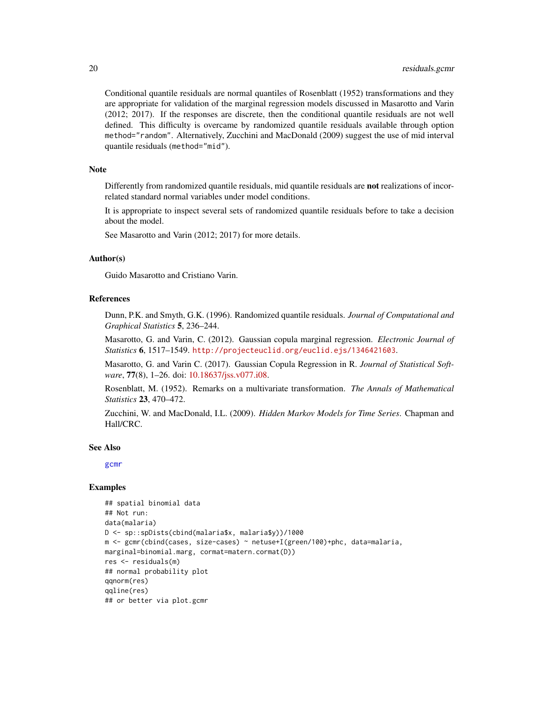Conditional quantile residuals are normal quantiles of Rosenblatt (1952) transformations and they are appropriate for validation of the marginal regression models discussed in Masarotto and Varin (2012; 2017). If the responses are discrete, then the conditional quantile residuals are not well defined. This difficulty is overcame by randomized quantile residuals available through option method="random". Alternatively, Zucchini and MacDonald (2009) suggest the use of mid interval quantile residuals (method="mid").

# **Note**

Differently from randomized quantile residuals, mid quantile residuals are not realizations of incorrelated standard normal variables under model conditions.

It is appropriate to inspect several sets of randomized quantile residuals before to take a decision about the model.

See Masarotto and Varin (2012; 2017) for more details.

# Author(s)

Guido Masarotto and Cristiano Varin.

## References

Dunn, P.K. and Smyth, G.K. (1996). Randomized quantile residuals. *Journal of Computational and Graphical Statistics* 5, 236–244.

Masarotto, G. and Varin, C. (2012). Gaussian copula marginal regression. *Electronic Journal of Statistics* 6, 1517–1549. <http://projecteuclid.org/euclid.ejs/1346421603>.

Masarotto, G. and Varin C. (2017). Gaussian Copula Regression in R. *Journal of Statistical Software*, 77(8), 1–26. doi: [10.18637/jss.v077.i08.](http://doi.org/10.18637/jss.v077.i08)

Rosenblatt, M. (1952). Remarks on a multivariate transformation. *The Annals of Mathematical Statistics* 23, 470–472.

Zucchini, W. and MacDonald, I.L. (2009). *Hidden Markov Models for Time Series*. Chapman and Hall/CRC.

#### See Also

[gcmr](#page-6-1)

#### Examples

```
## spatial binomial data
## Not run:
data(malaria)
D <- sp::spDists(cbind(malaria$x, malaria$y))/1000
m <- gcmr(cbind(cases, size-cases) ~ netuse+I(green/100)+phc, data=malaria,
marginal=binomial.marg, cormat=matern.cormat(D))
res <- residuals(m)
## normal probability plot
qqnorm(res)
qqline(res)
## or better via plot.gcmr
```
<span id="page-19-0"></span>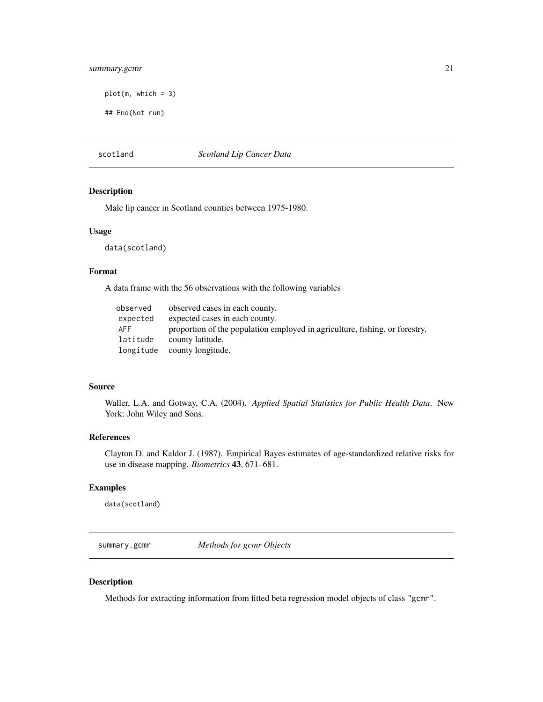# <span id="page-20-0"></span>summary.gcmr 21

```
plot(m, which = 3)
```
## End(Not run)

#### scotland *Scotland Lip Cancer Data*

# Description

Male lip cancer in Scotland counties between 1975-1980.

#### Usage

data(scotland)

#### Format

A data frame with the 56 observations with the following variables

| observed   | observed cases in each county.                                              |
|------------|-----------------------------------------------------------------------------|
| expected   | expected cases in each county.                                              |
| <b>AFF</b> | proportion of the population employed in agriculture, fishing, or forestry. |
| latitude   | county latitude.                                                            |
|            | longitude county longitude.                                                 |

# Source

Waller, L.A. and Gotway, C.A. (2004). *Applied Spatial Statistics for Public Health Data*. New York: John Wiley and Sons.

#### References

Clayton D. and Kaldor J. (1987). Empirical Bayes estimates of age-standardized relative risks for use in disease mapping. *Biometrics* 43, 671–681.

# Examples

data(scotland)

summary.gcmr *Methods for gcmr Objects*

# <span id="page-20-1"></span>Description

Methods for extracting information from fitted beta regression model objects of class "gcmr".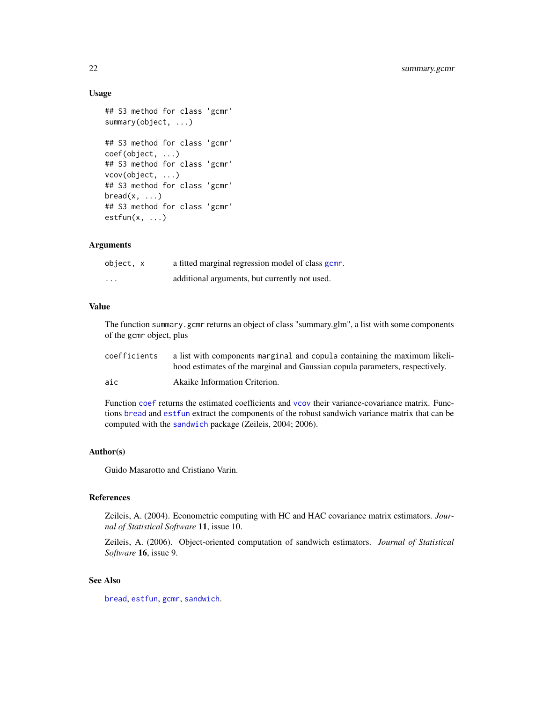# Usage

```
## S3 method for class 'gcmr'
summary(object, ...)
## S3 method for class 'gcmr'
coef(object, ...)
## S3 method for class 'gcmr'
vcov(object, ...)
## S3 method for class 'gcmr'
break(x, \ldots)## S3 method for class 'gcmr'
estfun(x, \ldots)
```
#### Arguments

| object, x               | a fitted marginal regression model of class gcm. |
|-------------------------|--------------------------------------------------|
| $\cdot$ $\cdot$ $\cdot$ | additional arguments, but currently not used.    |

# Value

The function summary.gcmr returns an object of class "summary.glm", a list with some components of the gcmr object, plus

| coefficients | a list with components marginal and copula containing the maximum likeli-    |
|--------------|------------------------------------------------------------------------------|
|              | hood estimates of the marginal and Gaussian copula parameters, respectively. |
| aic          | Akaike Information Criterion.                                                |

Function [coef](#page-0-0) returns the estimated coefficients and [vcov](#page-0-0) their variance-covariance matrix. Functions [bread](#page-0-0) and [estfun](#page-0-0) extract the components of the robust sandwich variance matrix that can be computed with the [sandwich](#page-0-0) package (Zeileis, 2004; 2006).

# Author(s)

Guido Masarotto and Cristiano Varin.

#### References

Zeileis, A. (2004). Econometric computing with HC and HAC covariance matrix estimators. *Journal of Statistical Software* 11, issue 10.

Zeileis, A. (2006). Object-oriented computation of sandwich estimators. *Journal of Statistical Software* 16, issue 9.

# See Also

[bread](#page-0-0), [estfun](#page-0-0), [gcmr](#page-6-1), [sandwich](#page-0-0).

<span id="page-21-0"></span>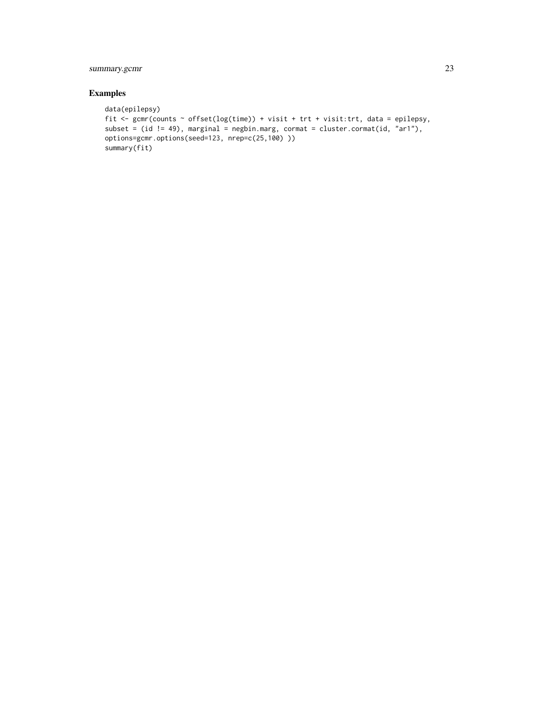# summary.gcmr 23

# Examples

```
data(epilepsy)
fit <- gcmr(counts ~ offset(log(time)) + visit + trt + visit:trt, data = epilepsy,
subset = (id != 49), marginal = negbin.marg, cormat = cluster.cormat(id, "ar1"),
options=gcmr.options(seed=123, nrep=c(25,100) ))
summary(fit)
```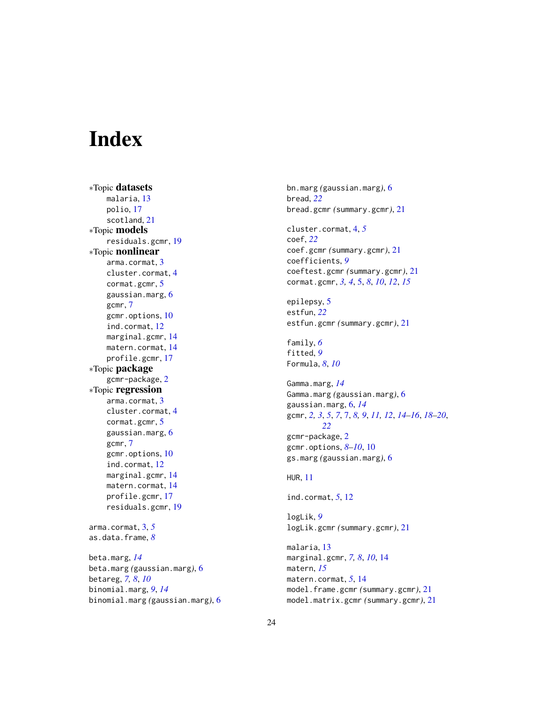# <span id="page-23-0"></span>**Index**

∗Topic datasets malaria, [13](#page-12-0) polio, [17](#page-16-0) scotland, [21](#page-20-0) ∗Topic models residuals.gcmr, [19](#page-18-0) ∗Topic nonlinear arma.cormat, [3](#page-2-0) cluster.cormat, [4](#page-3-0) cormat.gcmr, [5](#page-4-0) gaussian.marg, [6](#page-5-0) gcmr, [7](#page-6-0) gcmr.options, [10](#page-9-0) ind.cormat, [12](#page-11-0) marginal.gcmr, [14](#page-13-0) matern.cormat, [14](#page-13-0) profile.gcmr, [17](#page-16-0) ∗Topic package gcmr-package, [2](#page-1-0) ∗Topic regression arma.cormat, [3](#page-2-0) cluster.cormat, [4](#page-3-0) cormat.gcmr, [5](#page-4-0) gaussian.marg, [6](#page-5-0) gcmr, [7](#page-6-0) gcmr.options, [10](#page-9-0) ind.cormat, [12](#page-11-0) marginal.gcmr, [14](#page-13-0) matern.cormat, [14](#page-13-0) profile.gcmr, [17](#page-16-0) residuals.gcmr, [19](#page-18-0) arma.cormat, [3,](#page-2-0) *[5](#page-4-0)* as.data.frame, *[8](#page-7-0)* beta.marg, *[14](#page-13-0)* beta.marg *(*gaussian.marg*)*, [6](#page-5-0) betareg, *[7,](#page-6-0) [8](#page-7-0)*, *[10](#page-9-0)* binomial.marg, *[9](#page-8-0)*, *[14](#page-13-0)*

binomial.marg *(*gaussian.marg*)*, [6](#page-5-0)

bn.marg *(*gaussian.marg*)*, [6](#page-5-0) bread, *[22](#page-21-0)* bread.gcmr *(*summary.gcmr*)*, [21](#page-20-0) cluster.cormat, [4,](#page-3-0) *[5](#page-4-0)* coef, *[22](#page-21-0)* coef.gcmr *(*summary.gcmr*)*, [21](#page-20-0) coefficients, *[9](#page-8-0)* coeftest.gcmr *(*summary.gcmr*)*, [21](#page-20-0) cormat.gcmr, *[3,](#page-2-0) [4](#page-3-0)*, [5,](#page-4-0) *[8](#page-7-0)*, *[10](#page-9-0)*, *[12](#page-11-0)*, *[15](#page-14-0)* epilepsy, [5](#page-4-0) estfun, *[22](#page-21-0)* estfun.gcmr *(*summary.gcmr*)*, [21](#page-20-0) family, *[6](#page-5-0)* fitted, *[9](#page-8-0)* Formula, *[8](#page-7-0)*, *[10](#page-9-0)* Gamma.marg, *[14](#page-13-0)* Gamma.marg *(*gaussian.marg*)*, [6](#page-5-0) gaussian.marg, [6,](#page-5-0) *[14](#page-13-0)* gcmr, *[2,](#page-1-0) [3](#page-2-0)*, *[5](#page-4-0)*, *[7](#page-6-0)*, [7,](#page-6-0) *[8,](#page-7-0) [9](#page-8-0)*, *[11,](#page-10-0) [12](#page-11-0)*, *[14](#page-13-0)[–16](#page-15-0)*, *[18](#page-17-0)[–20](#page-19-0)*, *[22](#page-21-0)* gcmr-package, [2](#page-1-0) gcmr.options, *[8](#page-7-0)[–10](#page-9-0)*, [10](#page-9-0) gs.marg *(*gaussian.marg*)*, [6](#page-5-0) HUR, [11](#page-10-0) ind.cormat, *[5](#page-4-0)*, [12](#page-11-0) logLik, *[9](#page-8-0)* logLik.gcmr *(*summary.gcmr*)*, [21](#page-20-0) malaria, [13](#page-12-0) marginal.gcmr, *[7,](#page-6-0) [8](#page-7-0)*, *[10](#page-9-0)*, [14](#page-13-0) matern, *[15](#page-14-0)* matern.cormat, *[5](#page-4-0)*, [14](#page-13-0) model.frame.gcmr *(*summary.gcmr*)*, [21](#page-20-0) model.matrix.gcmr *(*summary.gcmr*)*, [21](#page-20-0)